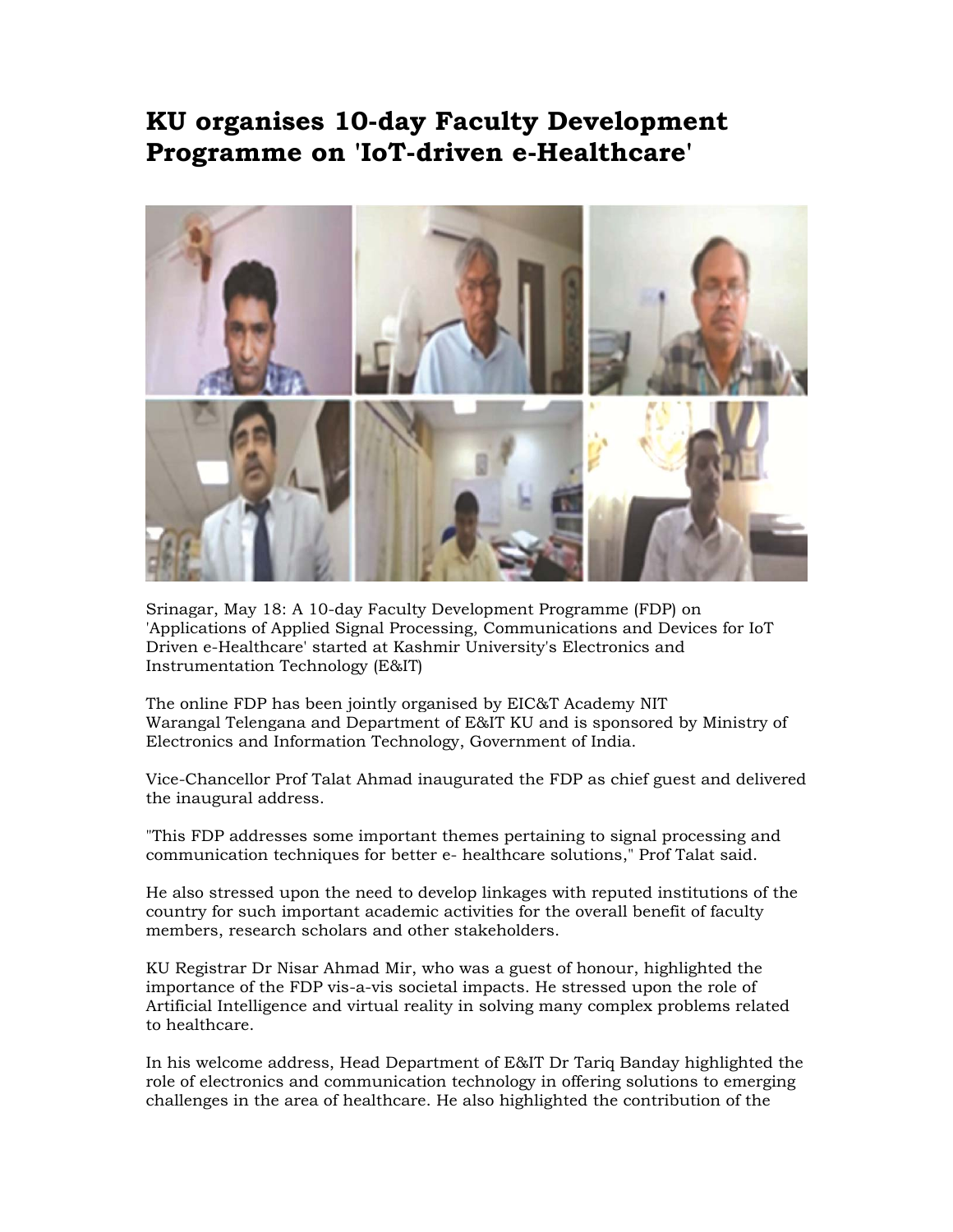## **KU organises 10-day Faculty Development Programme on 'IoT-driven e-Healthcare'**



Srinagar, May 18: A 10-day Faculty Development Programme (FDP) on 'Applications of Applied Signal Processing, Communications and Devices for IoT Driven e-Healthcare' started at Kashmir University's Electronics and Instrumentation Technology (E&IT)

The online FDP has been jointly organised by EIC&T Academy NIT Warangal Telengana and Department of E&IT KU and is sponsored by Ministry of Electronics and Information Technology, Government of India.

Vice-Chancellor Prof Talat Ahmad inaugurated the FDP as chief guest and delivered the inaugural address.

"This FDP addresses some important themes pertaining to signal processing and communication techniques for better e- healthcare solutions," Prof Talat said.

He also stressed upon the need to develop linkages with reputed institutions of the country for such important academic activities for the overall benefit of faculty members, research scholars and other stakeholders.

KU Registrar Dr Nisar Ahmad Mir, who was a guest of honour, highlighted the importance of the FDP vis-a-vis societal impacts. He stressed upon the role of Artificial Intelligence and virtual reality in solving many complex problems related to healthcare.

In his welcome address, Head Department of E&IT Dr Tariq Banday highlighted the role of electronics and communication technology in offering solutions to emerging challenges in the area of healthcare. He also highlighted the contribution of the